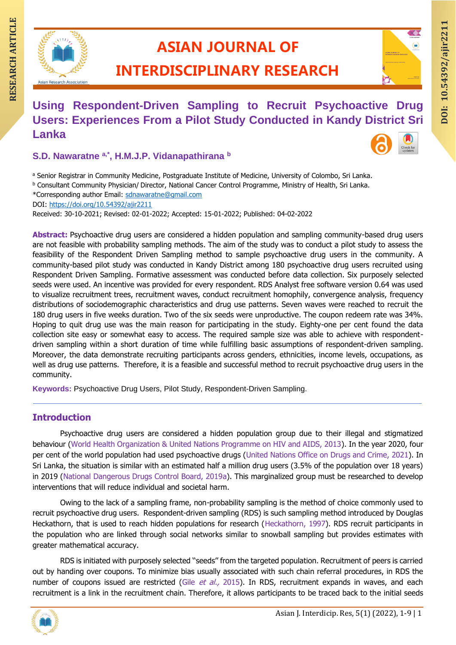

# **ASIAN JOURNAL OF**

# **INTERDISCIPLINARY RESEARCH**

# **DOI: DOI: DOI: DOI: DOI: DOI: DOI: DOI: DOI: DOI: DOI: DOI: DOI: DOI: DOI: DOI: DOI: DOI: DOI: DOI: DOI: DOI: DOI: DOI: DOI: DOI: DOI: DOI: DOI: DOI: DOI: DOI: Using Respondent-Driven Sampling to Recruit Psychoactive Drug Users: Experiences From a Pilot Study Conducted in Kandy District Sri Lanka**

## **S.D. Nawaratne a,\* , H.M.J.P. Vidanapathirana <sup>b</sup>**

a Senior Registrar in Community Medicine, Postgraduate Institute of Medicine, University of Colombo, Sri Lanka.

<sup>b</sup> Consultant Community Physician/ Director, National Cancer Control Programme, Ministry of Health, Sri Lanka.

\*Corresponding author Email: [sdnawaratne@gmail.com](mailto:sdnawaratne@gmail.com)

DOI:<https://doi.org/10.54392/ajir2211>

Received: 30-10-2021; Revised: 02-01-2022; Accepted: 15-01-2022; Published: 04-02-2022

Abstract: Psychoactive drug users are considered a hidden population and sampling community-based drug users are not feasible with probability sampling methods. The aim of the study was to conduct a pilot study to assess the feasibility of the Respondent Driven Sampling method to sample psychoactive drug users in the community. A community-based pilot study was conducted in Kandy District among 180 psychoactive drug users recruited using Respondent Driven Sampling. Formative assessment was conducted before data collection. Six purposely selected seeds were used. An incentive was provided for every respondent. RDS Analyst free software version 0.64 was used to visualize recruitment trees, recruitment waves, conduct recruitment homophily, convergence analysis, frequency distributions of sociodemographic characteristics and drug use patterns. Seven waves were reached to recruit the 180 drug users in five weeks duration. Two of the six seeds were unproductive. The coupon redeem rate was 34%. Hoping to quit drug use was the main reason for participating in the study. Eighty-one per cent found the data collection site easy or somewhat easy to access. The required sample size was able to achieve with respondentdriven sampling within a short duration of time while fulfilling basic assumptions of respondent-driven sampling. Moreover, the data demonstrate recruiting participants across genders, ethnicities, income levels, occupations, as well as drug use patterns. Therefore, it is a feasible and successful method to recruit psychoactive drug users in the community.

**Keywords:** Psychoactive Drug Users, Pilot Study, Respondent-Driven Sampling.

## **Introduction**

Psychoactive drug users are considered a hidden population group due to their illegal and stigmatized behaviour (World Health Organization & United Nations Programme on HIV and AIDS, 2013). In the year 2020, four per cent of the world population had used psychoactive drugs (United Nations Office on Drugs and Crime, 2021). In Sri Lanka, the situation is similar with an estimated half a million drug users (3.5% of the population over 18 years) in 2019 (National Dangerous Drugs Control Board, 2019a). This marginalized group must be researched to develop interventions that will reduce individual and societal harm.

Owing to the lack of a sampling frame, non-probability sampling is the method of choice commonly used to recruit psychoactive drug users. Respondent-driven sampling (RDS) is such sampling method introduced by Douglas Heckathorn, that is used to reach hidden populations for research (Heckathorn, 1997). RDS recruit participants in the population who are linked through social networks similar to snowball sampling but provides estimates with greater mathematical accuracy.

RDS is initiated with purposely selected ''seeds'' from the targeted population. Recruitment of peers is carried out by handing over coupons. To minimize bias usually associated with such chain referral procedures, in RDS the number of coupons issued are restricted (Gile et al., 2015). In RDS, recruitment expands in waves, and each recruitment is a link in the recruitment chain. Therefore, it allows participants to be traced back to the initial seeds

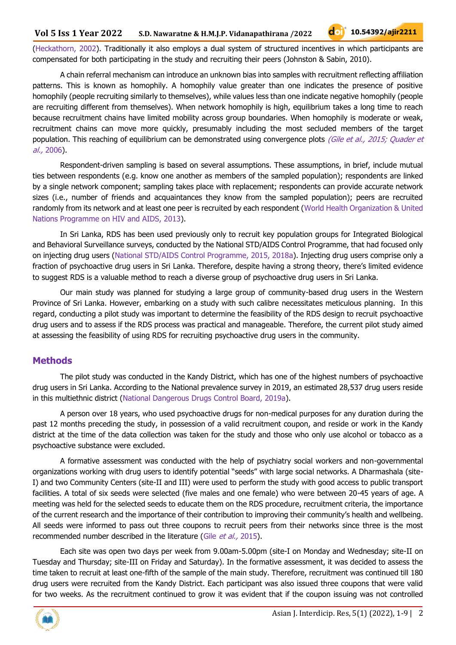(Heckathorn, 2002). Traditionally it also employs a dual system of structured incentives in which participants are compensated for both participating in the study and recruiting their peers (Johnston & Sabin, 2010).

A chain referral mechanism can introduce an unknown bias into samples with recruitment reflecting affiliation patterns. This is known as homophily. A homophily value greater than one indicates the presence of positive homophily (people recruiting similarly to themselves), while values less than one indicate negative homophily (people are recruiting different from themselves). When network homophily is high, equilibrium takes a long time to reach because recruitment chains have limited mobility across group boundaries. When homophily is moderate or weak, recruitment chains can move more quickly, presumably including the most secluded members of the target population. This reaching of equilibrium can be demonstrated using convergence plots (Gile et al., 2015; Quader et al., 2006).

Respondent-driven sampling is based on several assumptions. These assumptions, in brief, include mutual ties between respondents (e.g. know one another as members of the sampled population); respondents are linked by a single network component; sampling takes place with replacement; respondents can provide accurate network sizes (i.e., number of friends and acquaintances they know from the sampled population); peers are recruited randomly from its network and at least one peer is recruited by each respondent (World Health Organization & United Nations Programme on HIV and AIDS, 2013).

In Sri Lanka, RDS has been used previously only to recruit key population groups for Integrated Biological and Behavioral Surveillance surveys, conducted by the National STD/AIDS Control Programme, that had focused only on injecting drug users (National STD/AIDS Control Programme, 2015, 2018a). Injecting drug users comprise only a fraction of psychoactive drug users in Sri Lanka. Therefore, despite having a strong theory, there's limited evidence to suggest RDS is a valuable method to reach a diverse group of psychoactive drug users in Sri Lanka.

Our main study was planned for studying a large group of community-based drug users in the Western Province of Sri Lanka. However, embarking on a study with such calibre necessitates meticulous planning. In this regard, conducting a pilot study was important to determine the feasibility of the RDS design to recruit psychoactive drug users and to assess if the RDS process was practical and manageable. Therefore, the current pilot study aimed at assessing the feasibility of using RDS for recruiting psychoactive drug users in the community.

## **Methods**

The pilot study was conducted in the Kandy District, which has one of the highest numbers of psychoactive drug users in Sri Lanka. According to the National prevalence survey in 2019, an estimated 28,537 drug users reside in this multiethnic district (National Dangerous Drugs Control Board, 2019a).

A person over 18 years, who used psychoactive drugs for non-medical purposes for any duration during the past 12 months preceding the study, in possession of a valid recruitment coupon, and reside or work in the Kandy district at the time of the data collection was taken for the study and those who only use alcohol or tobacco as a psychoactive substance were excluded.

A formative assessment was conducted with the help of psychiatry social workers and non-governmental organizations working with drug users to identify potential "seeds" with large social networks. A Dharmashala (site-I) and two Community Centers (site-II and III) were used to perform the study with good access to public transport facilities. A total of six seeds were selected (five males and one female) who were between 20-45 years of age. A meeting was held for the selected seeds to educate them on the RDS procedure, recruitment criteria, the importance of the current research and the importance of their contribution to improving their community's health and wellbeing. All seeds were informed to pass out three coupons to recruit peers from their networks since three is the most recommended number described in the literature (Gile et al., 2015).

Each site was open two days per week from 9.00am-5.00pm (site-I on Monday and Wednesday; site-II on Tuesday and Thursday; site-III on Friday and Saturday). In the formative assessment, it was decided to assess the time taken to recruit at least one-fifth of the sample of the main study. Therefore, recruitment was continued till 180 drug users were recruited from the Kandy District. Each participant was also issued three coupons that were valid for two weeks. As the recruitment continued to grow it was evident that if the coupon issuing was not controlled

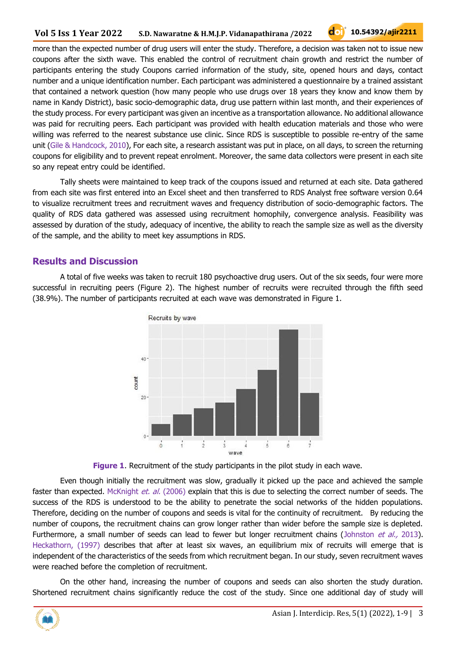more than the expected number of drug users will enter the study. Therefore, a decision was taken not to issue new coupons after the sixth wave. This enabled the control of recruitment chain growth and restrict the number of participants entering the study Coupons carried information of the study, site, opened hours and days, contact number and a unique identification number. Each participant was administered a questionnaire by a trained assistant that contained a network question (how many people who use drugs over 18 years they know and know them by name in Kandy District), basic socio-demographic data, drug use pattern within last month, and their experiences of the study process. For every participant was given an incentive as a transportation allowance. No additional allowance was paid for recruiting peers. Each participant was provided with health education materials and those who were willing was referred to the nearest substance use clinic. Since RDS is susceptible to possible re-entry of the same unit (Gile & Handcock, 2010), For each site, a research assistant was put in place, on all days, to screen the returning coupons for eligibility and to prevent repeat enrolment. Moreover, the same data collectors were present in each site so any repeat entry could be identified.

Tally sheets were maintained to keep track of the coupons issued and returned at each site. Data gathered from each site was first entered into an Excel sheet and then transferred to RDS Analyst free software version 0.64 to visualize recruitment trees and recruitment waves and frequency distribution of socio-demographic factors. The quality of RDS data gathered was assessed using recruitment homophily, convergence analysis. Feasibility was assessed by duration of the study, adequacy of incentive, the ability to reach the sample size as well as the diversity of the sample, and the ability to meet key assumptions in RDS.

#### **Results and Discussion**

A total of five weeks was taken to recruit 180 psychoactive drug users. Out of the six seeds, four were more successful in recruiting peers (Figure 2). The highest number of recruits were recruited through the fifth seed (38.9%). The number of participants recruited at each wave was demonstrated in Figure 1.





Even though initially the recruitment was slow, gradually it picked up the pace and achieved the sample faster than expected. McKnight *et. al.* (2006) explain that this is due to selecting the correct number of seeds. The success of the RDS is understood to be the ability to penetrate the social networks of the hidden populations. Therefore, deciding on the number of coupons and seeds is vital for the continuity of recruitment. By reducing the number of coupons, the recruitment chains can grow longer rather than wider before the sample size is depleted. Furthermore, a small number of seeds can lead to fewer but longer recruitment chains (Johnston et al., 2013). Heckathorn, (1997) describes that after at least six waves, an equilibrium mix of recruits will emerge that is independent of the characteristics of the seeds from which recruitment began. In our study, seven recruitment waves were reached before the completion of recruitment.

On the other hand, increasing the number of coupons and seeds can also shorten the study duration. Shortened recruitment chains significantly reduce the cost of the study. Since one additional day of study will

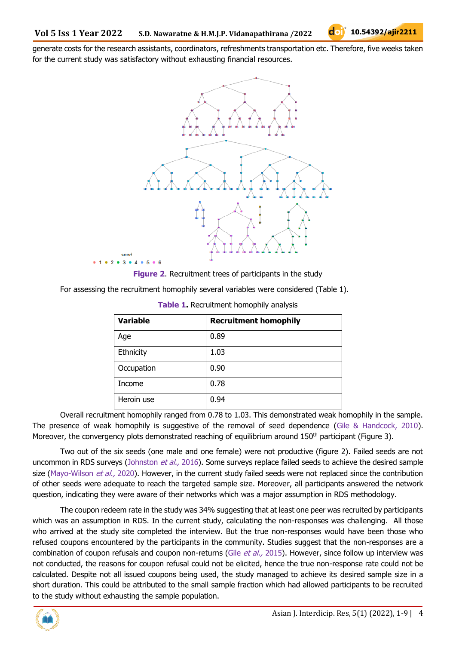generate costs for the research assistants, coordinators, refreshments transportation etc. Therefore, five weeks taken for the current study was satisfactory without exhausting financial resources.



**Figure 2**. Recruitment trees of participants in the study

| For assessing the recruitment homophily several variables were considered (Table 1). |  |  |  |  |
|--------------------------------------------------------------------------------------|--|--|--|--|
|--------------------------------------------------------------------------------------|--|--|--|--|

| <b>Variable</b> | <b>Recruitment homophily</b> |
|-----------------|------------------------------|
| Age             | 0.89                         |
| Ethnicity       | 1.03                         |
| Occupation      | 0.90                         |
| Income          | 0.78                         |
| Heroin use      | 0.94                         |

| Table 1. Recruitment homophily analysis |  |  |
|-----------------------------------------|--|--|
|-----------------------------------------|--|--|

Overall recruitment homophily ranged from 0.78 to 1.03. This demonstrated weak homophily in the sample. The presence of weak homophily is suggestive of the removal of seed dependence (Gile & Handcock, 2010). Moreover, the convergency plots demonstrated reaching of equilibrium around  $150<sup>th</sup>$  participant (Figure 3).

Two out of the six seeds (one male and one female) were not productive (figure 2). Failed seeds are not uncommon in RDS surveys (Johnston et al., 2016). Some surveys replace failed seeds to achieve the desired sample size (Mayo-Wilson et al., 2020). However, in the current study failed seeds were not replaced since the contribution of other seeds were adequate to reach the targeted sample size. Moreover, all participants answered the network question, indicating they were aware of their networks which was a major assumption in RDS methodology.

The coupon redeem rate in the study was 34% suggesting that at least one peer was recruited by participants which was an assumption in RDS. In the current study, calculating the non-responses was challenging. All those who arrived at the study site completed the interview. But the true non-responses would have been those who refused coupons encountered by the participants in the community. Studies suggest that the non-responses are a combination of coupon refusals and coupon non-returns (Gile et al., 2015). However, since follow up interview was not conducted, the reasons for coupon refusal could not be elicited, hence the true non-response rate could not be calculated. Despite not all issued coupons being used, the study managed to achieve its desired sample size in a short duration. This could be attributed to the small sample fraction which had allowed participants to be recruited to the study without exhausting the sample population.

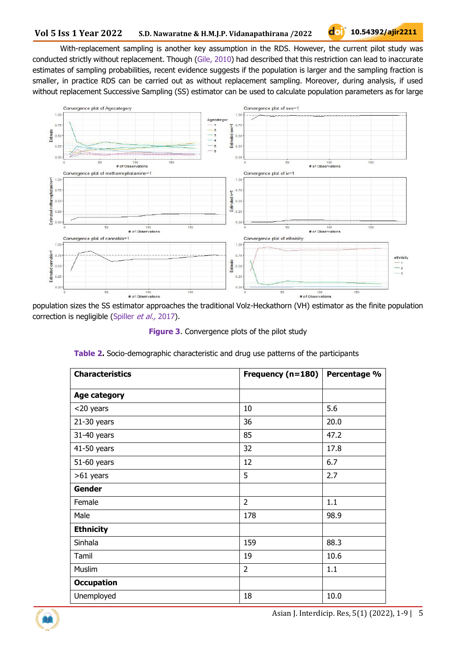With-replacement sampling is another key assumption in the RDS. However, the current pilot study was conducted strictly without replacement. Though (Gile, 2010) had described that this restriction can lead to inaccurate estimates of sampling probabilities, recent evidence suggests if the population is larger and the sampling fraction is smaller, in practice RDS can be carried out as without replacement sampling. Moreover, during analysis, if used without replacement Successive Sampling (SS) estimator can be used to calculate population parameters as for large



population sizes the SS estimator approaches the traditional Volz-Heckathorn (VH) estimator as the finite population correction is negligible (Spiller et al., 2017).

**Figure 3**. Convergence plots of the pilot study

| <b>Characteristics</b> | Frequency (n=180) | Percentage % |
|------------------------|-------------------|--------------|
| Age category           |                   |              |
| <20 years              | 10                | 5.6          |
| $21-30$ years          | 36                | 20.0         |
| 31-40 years            | 85                | 47.2         |
| 41-50 years            | 32                | 17.8         |
| 51-60 years            | 12                | 6.7          |
| >61 years              | 5                 | 2.7          |
| Gender                 |                   |              |
| Female                 | $\overline{2}$    | 1.1          |
| Male                   | 178               | 98.9         |
| <b>Ethnicity</b>       |                   |              |
| Sinhala                | 159               | 88.3         |
| Tamil                  | 19                | 10.6         |
| Muslim                 | $\overline{2}$    | 1.1          |
| <b>Occupation</b>      |                   |              |
| Unemployed             | 18                | 10.0         |

**Table 2.** Socio-demographic characteristic and drug use patterns of the participants

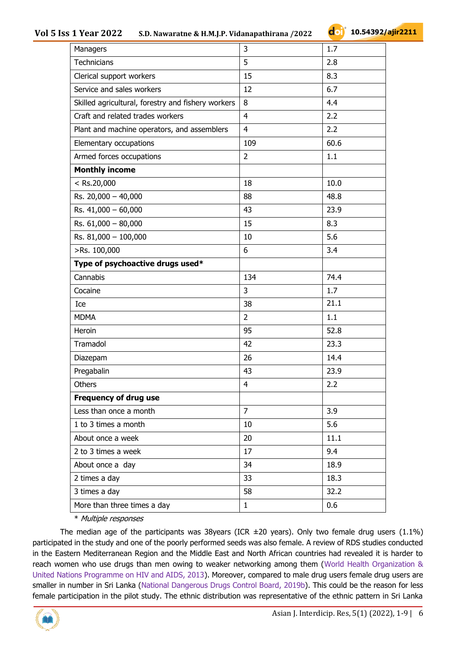#### **Vol 5 Iss 1 Year 2022 S.D. Nawaratne & H.M.J.P. Vidanapathirana /2022**

| Managers                                           | 3              | 1.7  |
|----------------------------------------------------|----------------|------|
| Technicians                                        | 5              | 2.8  |
| Clerical support workers                           | 15             | 8.3  |
| Service and sales workers                          | 12             | 6.7  |
| Skilled agricultural, forestry and fishery workers | 8              | 4.4  |
| Craft and related trades workers                   | $\overline{4}$ | 2.2  |
| Plant and machine operators, and assemblers        | 4              | 2.2  |
| Elementary occupations                             | 109            | 60.6 |
| Armed forces occupations                           | $\overline{2}$ | 1.1  |
| <b>Monthly income</b>                              |                |      |
| $<$ Rs.20,000                                      | 18             | 10.0 |
| Rs. 20,000 - 40,000                                | 88             | 48.8 |
| Rs. 41,000 - 60,000                                | 43             | 23.9 |
| Rs. 61,000 - 80,000                                | 15             | 8.3  |
| Rs. 81,000 - 100,000                               | 10             | 5.6  |
| >Rs. 100,000                                       | 6              | 3.4  |
| Type of psychoactive drugs used*                   |                |      |
| Cannabis                                           | 134            | 74.4 |
| Cocaine                                            | 3              | 1.7  |
| Ice                                                | 38             | 21.1 |
| <b>MDMA</b>                                        | $\overline{2}$ | 1.1  |
| Heroin                                             | 95             | 52.8 |
| Tramadol                                           | 42             | 23.3 |
| Diazepam                                           | 26             | 14.4 |
| Pregabalin                                         | 43             | 23.9 |
| Others                                             | 4              | 2.2  |
| Frequency of drug use                              |                |      |
| Less than once a month                             | $\overline{7}$ | 3.9  |
| 1 to 3 times a month                               | 10             | 5.6  |
| About once a week                                  | 20             | 11.1 |
| 2 to 3 times a week                                | 17             | 9.4  |
| About once a day                                   | 34             | 18.9 |
| 2 times a day                                      | 33             | 18.3 |
| 3 times a day                                      | 58             | 32.2 |
| More than three times a day                        | $\mathbf{1}$   | 0.6  |

\* Multiple responses

The median age of the participants was 38years (ICR  $\pm$ 20 years). Only two female drug users (1.1%) participated in the study and one of the poorly performed seeds was also female. A review of RDS studies conducted in the Eastern Mediterranean Region and the Middle East and North African countries had revealed it is harder to reach women who use drugs than men owing to weaker networking among them (World Health Organization & United Nations Programme on HIV and AIDS, 2013). Moreover, compared to male drug users female drug users are smaller in number in Sri Lanka (National Dangerous Drugs Control Board, 2019b). This could be the reason for less female participation in the pilot study. The ethnic distribution was representative of the ethnic pattern in Sri Lanka

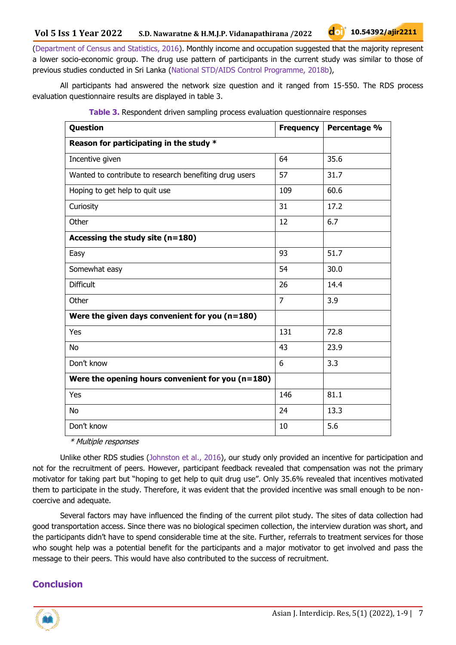(Department of Census and Statistics, 2016). Monthly income and occupation suggested that the majority represent a lower socio-economic group. The drug use pattern of participants in the current study was similar to those of previous studies conducted in Sri Lanka (National STD/AIDS Control Programme, 2018b),

All participants had answered the network size question and it ranged from 15-550. The RDS process evaluation questionnaire results are displayed in table 3.

| Question                                               | <b>Frequency</b> | Percentage % |
|--------------------------------------------------------|------------------|--------------|
| Reason for participating in the study *                |                  |              |
| Incentive given                                        | 64               | 35.6         |
| Wanted to contribute to research benefiting drug users | 57               | 31.7         |
| Hoping to get help to quit use                         | 109              | 60.6         |
| Curiosity                                              | 31               | 17.2         |
| Other                                                  | 12               | 6.7          |
| Accessing the study site $(n=180)$                     |                  |              |
| Easy                                                   | 93               | 51.7         |
| Somewhat easy                                          | 54               | 30.0         |
| <b>Difficult</b>                                       | 26               | 14.4         |
| Other                                                  | $\overline{7}$   | 3.9          |
| Were the given days convenient for you $(n=180)$       |                  |              |
| Yes                                                    | 131              | 72.8         |
| <b>No</b>                                              | 43               | 23.9         |
| Don't know                                             | 6                | 3.3          |
| Were the opening hours convenient for you $(n=180)$    |                  |              |
| Yes                                                    | 146              | 81.1         |
| <b>No</b>                                              | 24               | 13.3         |
| Don't know                                             | 10               | 5.6          |

|  |  |  | Table 3. Respondent driven sampling process evaluation questionnaire responses |  |
|--|--|--|--------------------------------------------------------------------------------|--|
|  |  |  |                                                                                |  |
|  |  |  |                                                                                |  |
|  |  |  |                                                                                |  |

\* Multiple responses

Unlike other RDS studies (Johnston et al., 2016), our study only provided an incentive for participation and not for the recruitment of peers. However, participant feedback revealed that compensation was not the primary motivator for taking part but "hoping to get help to quit drug use". Only 35.6% revealed that incentives motivated them to participate in the study. Therefore, it was evident that the provided incentive was small enough to be noncoercive and adequate.

Several factors may have influenced the finding of the current pilot study. The sites of data collection had good transportation access. Since there was no biological specimen collection, the interview duration was short, and the participants didn't have to spend considerable time at the site. Further, referrals to treatment services for those who sought help was a potential benefit for the participants and a major motivator to get involved and pass the message to their peers. This would have also contributed to the success of recruitment.

# **Conclusion**

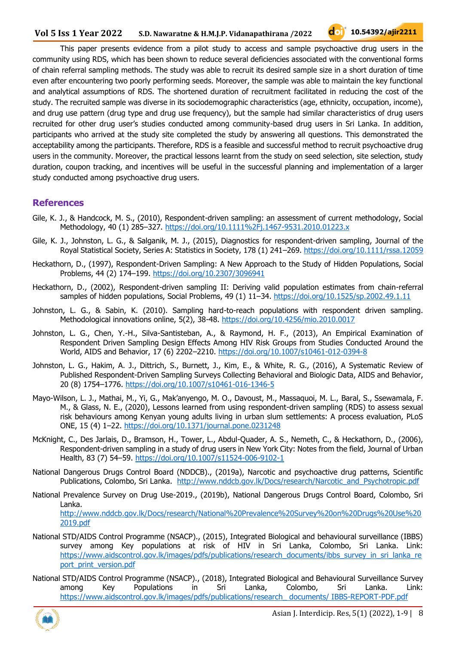This paper presents evidence from a pilot study to access and sample psychoactive drug users in the community using RDS, which has been shown to reduce several deficiencies associated with the conventional forms of chain referral sampling methods. The study was able to recruit its desired sample size in a short duration of time even after encountering two poorly performing seeds. Moreover, the sample was able to maintain the key functional and analytical assumptions of RDS. The shortened duration of recruitment facilitated in reducing the cost of the study. The recruited sample was diverse in its sociodemographic characteristics (age, ethnicity, occupation, income), and drug use pattern (drug type and drug use frequency), but the sample had similar characteristics of drug users recruited for other drug user's studies conducted among community-based drug users in Sri Lanka. In addition, participants who arrived at the study site completed the study by answering all questions. This demonstrated the acceptability among the participants. Therefore, RDS is a feasible and successful method to recruit psychoactive drug users in the community. Moreover, the practical lessons learnt from the study on seed selection, site selection, study duration, coupon tracking, and incentives will be useful in the successful planning and implementation of a larger study conducted among psychoactive drug users.

#### **References**

- Gile, K. J., & Handcock, M. S., (2010), Respondent-driven sampling: an assessment of current methodology, Social Methodology, 40 (1) 285–327.<https://doi.org/10.1111%2Fj.1467-9531.2010.01223.x>
- Gile, K. J., Johnston, L. G., & Salganik, M. J., (2015), Diagnostics for respondent-driven sampling, Journal of the Royal Statistical Society, Series A: Statistics in Society, 178 (1) 241–269.<https://doi.org/10.1111/rssa.12059>
- Heckathorn, D., (1997), Respondent-Driven Sampling: A New Approach to the Study of Hidden Populations, Social Problems, 44 (2) 174–199.<https://doi.org/10.2307/3096941>
- Heckathorn, D., (2002), Respondent-driven sampling II: Deriving valid population estimates from chain-referral samples of hidden populations, Social Problems, 49 (1) 11–34.<https://doi.org/10.1525/sp.2002.49.1.11>
- Johnston, L. G., & Sabin, K. (2010). Sampling hard-to-reach populations with respondent driven sampling. Methodological innovations online, 5(2), 38-48.<https://doi.org/10.4256/mio.2010.0017>
- Johnston, L. G., Chen, Y.-H., Silva-Santisteban, A., & Raymond, H. F., (2013), An Empirical Examination of Respondent Driven Sampling Design Effects Among HIV Risk Groups from Studies Conducted Around the World, AIDS and Behavior, 17 (6) 2202–2210.<https://doi.org/10.1007/s10461-012-0394-8>
- Johnston, L. G., Hakim, A. J., Dittrich, S., Burnett, J., Kim, E., & White, R. G., (2016), A Systematic Review of Published Respondent-Driven Sampling Surveys Collecting Behavioral and Biologic Data, AIDS and Behavior, 20 (8) 1754–1776.<https://doi.org/10.1007/s10461-016-1346-5>
- Mayo-Wilson, L. J., Mathai, M., Yi, G., Mak'anyengo, M. O., Davoust, M., Massaquoi, M. L., Baral, S., Ssewamala, F. M., & Glass, N. E., (2020), Lessons learned from using respondent-driven sampling (RDS) to assess sexual risk behaviours among Kenyan young adults living in urban slum settlements: A process evaluation, PLoS ONE, 15 (4) 1–22.<https://doi.org/10.1371/journal.pone.0231248>
- McKnight, C., Des Jarlais, D., Bramson, H., Tower, L., Abdul-Quader, A. S., Nemeth, C., & Heckathorn, D., (2006), Respondent-driven sampling in a study of drug users in New York City: Notes from the field, Journal of Urban Health, 83 (7) 54–59.<https://doi.org/10.1007/s11524-006-9102-1>
- National Dangerous Drugs Control Board (NDDCB)., (2019a), Narcotic and psychoactive drug patterns, Scientific Publications, Colombo, Sri Lanka. [http://www.nddcb.gov.lk/Docs/research/Narcotic\\_and\\_Psychotropic.pdf](http://www.nddcb.gov.lk/Docs/research/Narcotic_and_Psychotropic.pdf)
- National Prevalence Survey on Drug Use-2019., (2019b), National Dangerous Drugs Control Board, Colombo, Sri Lanka. [http://www.nddcb.gov.lk/Docs/research/National%20Prevalence%20Survey%20on%20Drugs%20Use%20](http://www.nddcb.gov.lk/Docs/research/National%20Prevalence%20Survey%20on%20Drugs%20Use%202019.pdf) [2019.pdf](http://www.nddcb.gov.lk/Docs/research/National%20Prevalence%20Survey%20on%20Drugs%20Use%202019.pdf)
- National STD/AIDS Control Programme (NSACP)., (2015), Integrated Biological and behavioural surveillance (IBBS) survey among Key populations at risk of HIV in Sri Lanka, Colombo, Sri Lanka. Link: [https://www.aidscontrol.gov.lk/images/pdfs/publications/research\\_documents/ibbs\\_survey\\_in\\_sri\\_lanka\\_re](https://www.aidscontrol.gov.lk/images/pdfs/publications/research_documents/ibbs_survey_in_sri_lanka_report_print_version.pdf) port\_print\_version.pdf
- National STD/AIDS Control Programme (NSACP)., (2018), Integrated Biological and Behavioural Surveillance Survey among Key Populations in Sri Lanka, Colombo, Sri Lanka. Link: [https://www.aidscontrol.gov.lk/images/pdfs/publications/research\\_ documents/ IBBS-REPORT-PDF.pdf](https://www.aidscontrol.gov.lk/images/pdfs/publications/research_%20documents/%20IBBS-REPORT-PDF.pdf)